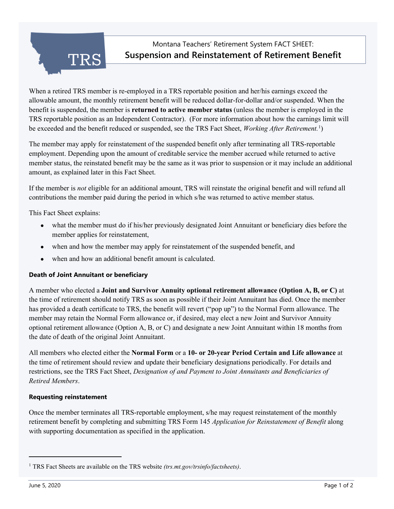Montana Teachers' Retirement System FACT SHEET: **Suspension and Reinstatement of Retirement Benefit**

When a retired TRS member is re-employed in a TRS reportable position and her/his earnings exceed the allowable amount, the monthly retirement benefit will be reduced dollar-for-dollar and/or suspended. When the benefit is suspended, the member is **returned to active member status** (unless the member is employed in the TRS reportable position as an Independent Contractor). (For more information about how the earnings limit will be exceeded and the benefit reduced or suspended, see the TRS Fact Sheet, *Working After Retirement.*[1](#page-0-0) )

The member may apply for reinstatement of the suspended benefit only after terminating all TRS-reportable employment. Depending upon the amount of creditable service the member accrued while returned to active member status, the reinstated benefit may be the same as it was prior to suspension or it may include an additional amount, as explained later in this Fact Sheet.

If the member is *not* eligible for an additional amount, TRS will reinstate the original benefit and will refund all contributions the member paid during the period in which s/he was returned to active member status.

This Fact Sheet explains:

- what the member must do if his/her previously designated Joint Annuitant or beneficiary dies before the member applies for reinstatement,
- when and how the member may apply for reinstatement of the suspended benefit, and
- when and how an additional benefit amount is calculated.

# **Death of Joint Annuitant or beneficiary**

**TRS** 

A member who elected a **Joint and Survivor Annuity optional retirement allowance (Option A, B, or C)** at the time of retirement should notify TRS as soon as possible if their Joint Annuitant has died. Once the member has provided a death certificate to TRS, the benefit will revert ("pop up") to the Normal Form allowance. The member may retain the Normal Form allowance or, if desired, may elect a new Joint and Survivor Annuity optional retirement allowance (Option A, B, or C) and designate a new Joint Annuitant within 18 months from the date of death of the original Joint Annuitant.

All members who elected either the **Normal Form** or a **10- or 20-year Period Certain and Life allowance** at the time of retirement should review and update their beneficiary designations periodically. For details and restrictions, see the TRS Fact Sheet, *Designation of and Payment to Joint Annuitants and Beneficiaries of Retired Members*.

# **Requesting reinstatement**

Once the member terminates all TRS-reportable employment, s/he may request reinstatement of the monthly retirement benefit by completing and submitting TRS Form 145 *Application for Reinstatement of Benefit* along with supporting documentation as specified in the application.

<span id="page-0-0"></span><sup>1</sup> TRS Fact Sheets are available on the TRS website *(trs.mt.gov/trsinfo/factsheets)*.